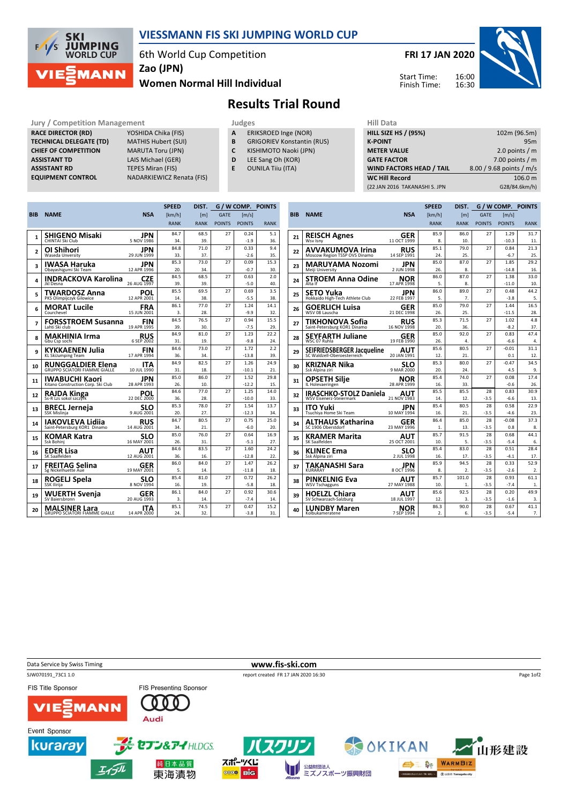

## VIESSMANN FIS SKI JUMPING WORLD CUP

6th World Cup Competition

Women Normal Hill Individual Zao (JPN)

## FRI 17 JAN 2020



Start Time: Finish Time:



Jury / Competition Management<br> **RACE DIRECTOR (RD)** YOSHIDA Chika (FIS) **A** ERIKSROED Inge (NOR) **HILL SIZE I** RACE DIRECTOR (RD) **TECHNICAL DELEGATE (TD)** MATHIS Hubert (SUI)<br> **CHIEF OF COMPETITION** MARUTA Toru (JPN) **CHIEF OF COMPETITION**<br>ASSISTANT TD **ASSISTANT RD** TEPES Miran (FIS)<br> **EQUIPMENT CONTROL** NADARKIEWICZ Re

LAIS Michael (GER) NADARKIEWICZ Renata (FIS)

- 
- A ERIKSROED Inge (NOR)
	- **B** GRIGORIEV Konstantin (RUS)<br>**C** KISHIMOTO Naoki (JPN)
	- KISHIMOTO Naoki (JPN)
	- D LEE Sang Oh (KOR)
	- E OUNILA Tiiu (ITA)

| пш мака                         |                          |
|---------------------------------|--------------------------|
| <b>HILL SIZE HS / (95%)</b>     | 102m (96.5m)             |
| <b>K-POINT</b>                  | 95 <sub>m</sub>          |
| <b>METER VALUE</b>              | 2.0 points $/m$          |
| <b>GATE FACTOR</b>              | 7.00 points $/m$         |
| <b>WIND FACTORS HEAD / TAIL</b> | 8.00 / 9.68 points / m/s |
| <b>WC Hill Record</b>           | 106.0 m                  |
| (22 JAN 2016 TAKANASHI S. JPN   | G28/84.6km/h)            |
|                                 |                          |

|                |                                                         |                           | <b>SPEED</b> | DIST.       | G / W COMP. POINTS |                |             |
|----------------|---------------------------------------------------------|---------------------------|--------------|-------------|--------------------|----------------|-------------|
| <b>BIB</b>     | <b>NAME</b>                                             | <b>NSA</b>                | [km/h]       | [m]         | <b>GATE</b>        | [m/s]          |             |
|                |                                                         |                           | <b>RANK</b>  | <b>RANK</b> | <b>POINTS</b>      | <b>POINTS</b>  | <b>RANK</b> |
|                | <b>SHIGENO Misaki</b>                                   | JPN                       | 84.7         | 68.5        | 27                 | 0.24           | 5.1         |
| 1              | CHINTAI Ski Club                                        | 5 NOV 1986                | 34.          | 39.         |                    | $-1.9$         | 36.         |
| $\overline{2}$ | OI Shihori                                              | JPN                       | 84.8         | 71.0        | 27                 | 0.33           | 9.4         |
|                | Waseda Unversity                                        | 29 JUN 1999               | 33.          | 37.         |                    | $-2.6$         | 35.         |
| 3              | IWASA Haruka                                            | JPN                       | 85.3         | 73.0        | 27                 | 0.09           | 15.3        |
|                | Obayashigumi Ski Team                                   | 12 APR 1996               | 20.          | 34.         |                    | $-0.7$         | 30.         |
| 4              | <b>INDRACKOVA Karolina</b>                              | <b>CZE</b>                | 84.5         | 68.5        | 27                 | 0.63           | 2.0         |
|                | Jkl Desna                                               | 26 AUG 1997               | 39.          | 39.         |                    | $-5.0$         | 40.         |
| 5              | TWARDOSZ Anna                                           | POL                       | 85.5         | 69.5        | 27                 | 0.69           | 3.5         |
|                | PKS Olimpijczyk Gilowice                                | 12 APR 2001               | 14.<br>86.1  | 38.<br>77.0 | 27                 | $-5.5$<br>1.24 | 38.<br>14.1 |
| 6              | <b>MORAT Lucile</b><br>Courchevel                       | <b>FRA</b><br>15 JUN 2001 | 3.           | 28.         |                    | $-9.9$         | 32.         |
|                |                                                         |                           | 84.5         | 76.5        | 27                 | 0.94           | 15.5        |
| 7              | <b>FORSSTROEM Susanna</b><br>Lahti Ski club             | FIN<br>19 APR 1995        | 39.          | 30.         |                    | $-7.5$         | 29.         |
|                | <b>MAKHINIA Irma</b>                                    |                           | 84.9         | 81.0        | 27                 | 1.23           | 22.2        |
| 8              | Gbu Csp sochi                                           | <b>RUS</b><br>6 SEP 2002  | 31.          | 19.         |                    | $-9.8$         | 24.         |
|                | KYKKAENEN Julia                                         | FIN                       | 84.6         | 73.0        | 27                 | 1.72           | 2.2         |
| 9              | KL SkiJumping Team                                      | 17 APR 1994               | 36.          | 34.         |                    | $-13.8$        | 39.         |
| 10             | <b>RUNGGALDIER Elena</b>                                | ITA                       | 84.9         | 82.5        | 27                 | 1.26           | 24.9        |
|                | <b>GRUPPO SCIATORI FIAMME GIALLE</b>                    | 10 JUL 1990               | 31.          | 18.         |                    | $-10.1$        | 21.         |
| 11             | <b>IWABUCHI Kaori</b>                                   | JPN                       | 85.0         | 86.0        | 27                 | 1.52           | 29.8        |
|                | Kitano Construction Corp. Ski Club                      | 28 APR 1993               | 26.          | 10.         |                    | $-12.2$        | 15.         |
| 12             | RAJDA Kinga<br>Ss-R Lzs sokol szczyrk                   | <b>POL</b><br>22 DEC 2000 | 84.6         | 77.0        | 27                 | 1.25           | 14.0        |
|                |                                                         |                           | 36.          | 28.         |                    | $-10.0$        | 33.         |
| 13             | <b>BRECL Jerneia</b>                                    | <b>SLO</b>                | 85.3         | 78.0        | 27                 | 1.54           | 13.7        |
|                | <b>SSK Mislinja</b>                                     | 9 AUG 2001                | 20.          | 27.         |                    | $-12.3$        | 34.         |
| 14             | <b>IAKOVLEVA Lidija</b><br>Saint-Petersburg KOR1 Dinamo | <b>RUS</b><br>14 AUG 2001 | 84.7<br>34.  | 80.5<br>21. | 27                 | 0.75<br>$-6.0$ | 25.0<br>20. |
|                |                                                         |                           | 85.0         | 76.0        | 27                 | 0.64           | 16.9        |
| 15             | KOMAR Katra<br>Ssk Bohinj                               | SLO<br>16 MAY 2001        | 26.          | 31.         |                    | $-5.1$         | 27.         |
|                |                                                         |                           | 84.6         | 83.5        | 27                 | 1.60           | 24.2        |
| 16             | <b>EDER Lisa</b><br>SK Saalfelden                       | AUT<br>12 AUG 2001        | 36.          | 16.         |                    | $-12.8$        | 22.         |
|                | <b>FREITAG Selina</b>                                   | GER                       | 86.0         | 84.0        | 27                 | 1.47           | 26.2        |
| 17             | Sg Nickelhuette Aue                                     | 19 MAY 2001               | 5.           | 14.         |                    | $-11.8$        | 18.         |
|                | <b>ROGELJ Spela</b>                                     | <b>SLO</b>                | 85.4         | 81.0        | 27                 | 0.72           | 26.2        |
| 18             | <b>SSK Ilirija</b>                                      | 8 NOV 1994                | 16.          | 19.         |                    | $-5.8$         | 18.         |
| 19             | <b>WUERTH Svenja</b>                                    | GER                       | 86.1         | 84.0        | 27                 | 0.92           | 30.6        |
|                | SV Baiersbronn                                          | 20 AUG 1993               | 3.           | 14.         |                    | $-7.4$         | 14.         |
| 20             | <b>MALSINER Lara</b>                                    | ITA                       | 85.1         | 74.5        | 27                 | 0.47           | 15.2        |
|                | <b>GRUPPO SCIATORI FIAMME GIALLE</b>                    | 14 APR 2000               | 24.          | 32.         |                    | $-3.8$         | 31.         |

|            |                                                                 |                           | <b>SPEED</b>     | DIST.            | G / W COMP. POINTS |                 |             |  |
|------------|-----------------------------------------------------------------|---------------------------|------------------|------------------|--------------------|-----------------|-------------|--|
| <b>BIB</b> | <b>NAME</b>                                                     | <b>NSA</b>                | [km/h]           | [m]              | <b>GATE</b>        | $\text{Im/s}$   |             |  |
|            |                                                                 |                           | <b>RANK</b>      | <b>RANK</b>      | <b>POINTS</b>      | <b>POINTS</b>   | <b>RANK</b> |  |
|            | <b>REISCH Agnes</b>                                             | GER                       | 85.9             | 86.0             | 27                 | 1.29            | 31.7        |  |
| 21         | Wsv Isny                                                        | 11 OCT 1999               | 8.               | 10.              |                    | $-10.3$         | 11.         |  |
| 22         | AVVAKUMOVA Irina                                                | RUS                       | 85.1             | 79.0             | 27                 | 0.84            | 21.3        |  |
|            | Moscow Region TSSP OVS Dinamo                                   | 14 SEP 1991               | 24.              | 25.              |                    | $-6.7$          | 25.         |  |
| 23         | <b>MARUYAMA Nozomi</b>                                          | JPN                       | 85.0             | 87.0             | 27                 | 1.85            | 29.2        |  |
|            | Meiji University                                                | 2 JUN 1998                | 26.              | 8.               |                    | $-14.8$         | 16.         |  |
| 24         | <b>STROEM Anna Odine</b>                                        | <b>NOR</b>                | 86.0             | 87.0             | 27                 | 1.38            | 33.0        |  |
|            | Alta If                                                         | 17 APR 1998               | 5.<br>86.0       | 8.<br>89.0       | 27                 | $-11.0$<br>0.48 | 10.<br>44.2 |  |
| 25         | SETO Yuka<br>Hokkaido High-Tech Athlete Club                    | JPN<br>22 FEB 1997        | 5.               | 7.               |                    | $-3.8$          | 5.          |  |
|            |                                                                 |                           | 85.0             | 79.0             | 27                 | 1.44            | 16.5        |  |
| 26         | <b>GOERLICH Luisa</b><br>WSV 08 Lauscha                         | GER<br>21 DEC 1998        | 26.              | 25.              |                    | $-11.5$         | 28.         |  |
|            | TIKHONOVA Sofia                                                 | RUS                       | 85.3             | 71.5             | 27                 | 1.02            | 4.8         |  |
| 27         | Saint-Petersburg KOR1 Dinamo                                    | 16 NOV 1998               | 20.              | 36.              |                    | $-8.2$          | 37.         |  |
|            | <b>SEYFARTH Juliane</b>                                         | GER                       | 85.0             | 92.0             | 27                 | 0.83            | 47.4        |  |
| 28         | WSC 07 Ruhla                                                    | 19 FEB 1990               | 26.              | 4.               |                    | $-6.6$          | 4.          |  |
| 29         | SEIFRIEDSBERGER Jacqueline                                      | AUT                       | 85.6             | 80.5             | 27                 | $-0.01$         | 31.1        |  |
|            | SC Waldzell-Oberoesterreich                                     | 20 JAN 1991               | 12.              | 21.              |                    | 0.1             | 12.         |  |
| 30         | KRIZNAR Nika                                                    | SLO                       | 85.3             | 80.0             | 27                 | $-0.47$         | 34.5        |  |
|            | Ssk Alpina ziri                                                 | 9 MAR 2000                | 20.              | 24.              |                    | 4.5             | 9.          |  |
| 31         | OPSETH Silie                                                    | NOR                       | 85.4             | 74.0             | 27                 | 0.08            | 17.4        |  |
|            | IL Holevaeringen                                                | 28 APR 1999               | 16.              | 33.              |                    | $-0.6$          | 26.         |  |
| 32         | <b>IRASCHKO-STOLZ Daniela</b><br><b>WSV Eisenerz-Steiermark</b> | <b>AUT</b><br>21 NOV 1983 | 85.5<br>14.      | 85.5<br>12.      | 28<br>$-3.5$       | 0.83<br>$-6.6$  | 30.9<br>13. |  |
|            |                                                                 |                           | 85.4             | 80.5             | 28                 | 0.58            | 22.9        |  |
| 33         | <b>ITO Yuki</b><br>Tsuchiya Home Ski Team                       | JPN<br>10 MAY 1994        | 16.              | 21.              | $-3.5$             | $-4.6$          | 23.         |  |
|            | ALTHAUS Katharina                                               | GER                       | 86.4             | 85.0             | 28                 | $-0.08$         | 37.3        |  |
| 34         | SC 1906 Oberstdorf                                              | 23 MAY 1996               | 1.               | 13.              | $-3.5$             | 0.8             | 8.          |  |
| 35         | KRAMER Marita                                                   | AUT                       | 85.7             | 91.5             | 28                 | 0.68            | 44.1        |  |
|            | SK Saalfelden                                                   | 25 OCT 2001               | 10.              | 5.               | $-3.5$             | $-5.4$          | 6.          |  |
| 36         | <b>KLINEC Ema</b>                                               | SLO                       | 85.4             | 83.0             | 28                 | 0.51            | 28.4        |  |
|            | Ssk Alpina ziri                                                 | 2 JUL 1998                | 16.              | 17.              | $-3.5$             | $-4.1$          | 17.         |  |
| 37         | TAKANASHI Sara                                                  | JPN                       | 85.9             | 94.5             | 28                 | 0.33            | 52.9        |  |
|            | <b>KURARAY</b>                                                  | 8 OCT 1996                | 8.               | $\overline{2}$ . | $-3.5$             | $-2.6$          | 2.          |  |
| 38         | <b>PINKELNIG Eva</b>                                            | <b>AUT</b>                | 85.7             | 101.0            | 28                 | 0.93            | 61.1        |  |
|            | <b>WSV Tschagguns</b>                                           | 27 MAY 1988               | 10.<br>85.6      | 1.<br>92.5       | $-3.5$<br>28       | $-7.4$<br>0.20  | 1.<br>49.9  |  |
| 39         | <b>HOELZL Chiara</b><br>SV Schwarzach-Salzburg                  | AUT<br>18 JUL 1997        | 12.              | 3.               | $-3.5$             | $-1.6$          | 3.          |  |
|            |                                                                 |                           | 86.3             | 90.0             | 28                 | 0.67            | 41.1        |  |
| 40         | LUNDBY Maren<br>Kolbukameratene                                 | NOR<br>7 SEP 1994         | $\overline{2}$ . | 6.               | $-3.5$             | $-5.4$          | 7.          |  |
|            |                                                                 |                           |                  |                  |                    |                 |             |  |